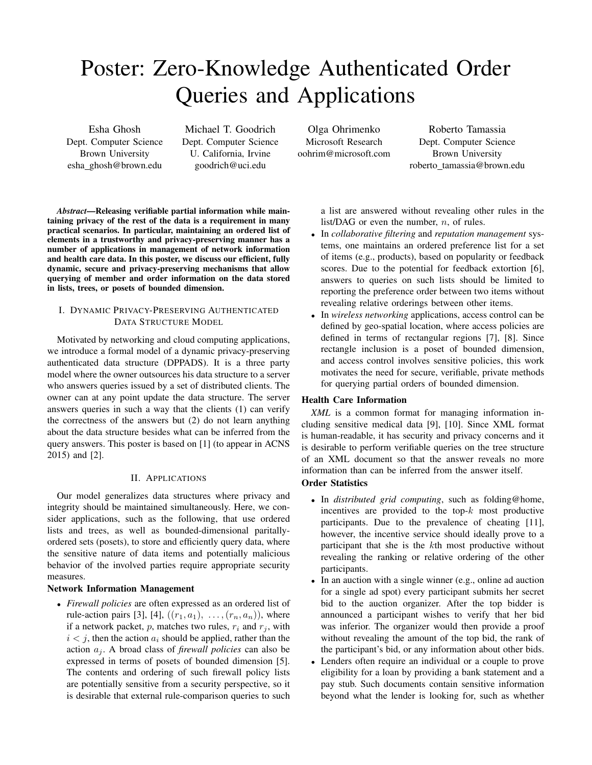# Poster: Zero-Knowledge Authenticated Order Queries and Applications

Esha Ghosh Dept. Computer Science Brown University esha ghosh@brown.edu

Michael T. Goodrich Dept. Computer Science U. California, Irvine goodrich@uci.edu

Olga Ohrimenko Microsoft Research oohrim@microsoft.com

Roberto Tamassia Dept. Computer Science Brown University roberto tamassia@brown.edu

a list are answered without revealing other rules in the list/DAG or even the number,  $n$ , of rules.

- In *collaborative filtering* and *reputation management* systems, one maintains an ordered preference list for a set of items (e.g., products), based on popularity or feedback scores. Due to the potential for feedback extortion [6], answers to queries on such lists should be limited to reporting the preference order between two items without revealing relative orderings between other items.
- In *wireless networking* applications, access control can be defined by geo-spatial location, where access policies are defined in terms of rectangular regions [7], [8]. Since rectangle inclusion is a poset of bounded dimension, and access control involves sensitive policies, this work motivates the need for secure, verifiable, private methods for querying partial orders of bounded dimension.

### Health Care Information

*XML* is a common format for managing information including sensitive medical data [9], [10]. Since XML format is human-readable, it has security and privacy concerns and it is desirable to perform verifiable queries on the tree structure of an XML document so that the answer reveals no more information than can be inferred from the answer itself.

# Order Statistics

- In *distributed grid computing*, such as folding@home, incentives are provided to the top- $k$  most productive participants. Due to the prevalence of cheating [11], however, the incentive service should ideally prove to a participant that she is the kth most productive without revealing the ranking or relative ordering of the other participants.
- In an auction with a single winner (e.g., online ad auction for a single ad spot) every participant submits her secret bid to the auction organizer. After the top bidder is announced a participant wishes to verify that her bid was inferior. The organizer would then provide a proof without revealing the amount of the top bid, the rank of the participant's bid, or any information about other bids.
- Lenders often require an individual or a couple to prove eligibility for a loan by providing a bank statement and a pay stub. Such documents contain sensitive information beyond what the lender is looking for, such as whether

## elements in a trustworthy and privacy-preserving manner has a number of applications in management of network information and health care data. In this poster, we discuss our efficient, fully dynamic, secure and privacy-preserving mechanisms that allow querying of member and order information on the data stored in lists, trees, or posets of bounded dimension.

*Abstract*—Releasing verifiable partial information while maintaining privacy of the rest of the data is a requirement in many practical scenarios. In particular, maintaining an ordered list of

## I. DYNAMIC PRIVACY-PRESERVING AUTHENTICATED DATA STRUCTURE MODEL

Motivated by networking and cloud computing applications, we introduce a formal model of a dynamic privacy-preserving authenticated data structure (DPPADS). It is a three party model where the owner outsources his data structure to a server who answers queries issued by a set of distributed clients. The owner can at any point update the data structure. The server answers queries in such a way that the clients (1) can verify the correctness of the answers but (2) do not learn anything about the data structure besides what can be inferred from the query answers. This poster is based on [1] (to appear in ACNS 2015) and [2].

## II. APPLICATIONS

Our model generalizes data structures where privacy and integrity should be maintained simultaneously. Here, we consider applications, such as the following, that use ordered lists and trees, as well as bounded-dimensional paritallyordered sets (posets), to store and efficiently query data, where the sensitive nature of data items and potentially malicious behavior of the involved parties require appropriate security measures.

### Network Information Management

• *Firewall policies* are often expressed as an ordered list of rule-action pairs [3], [4],  $((r_1, a_1), \ldots, (r_n, a_n))$ , where if a network packet, p, matches two rules,  $r_i$  and  $r_j$ , with  $i < j$ , then the action  $a_i$  should be applied, rather than the action  $a_i$ . A broad class of *firewall policies* can also be expressed in terms of posets of bounded dimension [5]. The contents and ordering of such firewall policy lists are potentially sensitive from a security perspective, so it is desirable that external rule-comparison queries to such